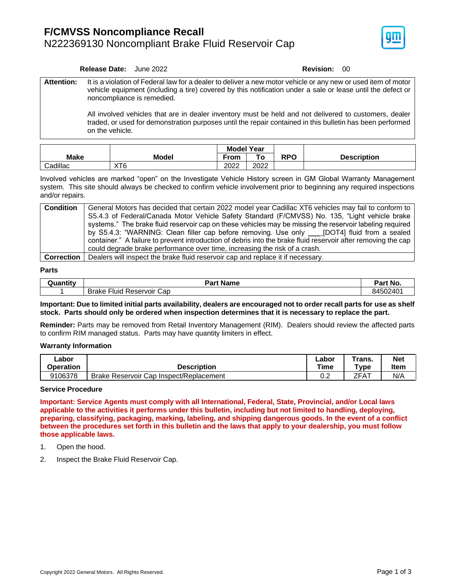

#### **Release Date:** June 2022 **Revision:** 00

**Attention:** It is a violation of Federal law for a dealer to deliver a new motor vehicle or any new or used item of motor vehicle equipment (including a tire) covered by this notification under a sale or lease until the defect or noncompliance is remedied.

> All involved vehicles that are in dealer inventory must be held and not delivered to customers, dealer traded, or used for demonstration purposes until the repair contained in this bulletin has been performed on the vehicle.

|             |                 | <b>Model Year</b> |      |           |                    |
|-------------|-----------------|-------------------|------|-----------|--------------------|
| <b>Make</b> | Model           | From              |      | RPO<br>лг | <b>Description</b> |
| Cadillac    | XT <sub>6</sub> | 2022              | 2022 |           |                    |

Involved vehicles are marked "open" on the Investigate Vehicle History screen in GM Global Warranty Management system. This site should always be checked to confirm vehicle involvement prior to beginning any required inspections and/or repairs.

| <b>Condition</b> | General Motors has decided that certain 2022 model year Cadillac XT6 vehicles may fail to conform to                                                                                                                                  |
|------------------|---------------------------------------------------------------------------------------------------------------------------------------------------------------------------------------------------------------------------------------|
|                  | S5.4.3 of Federal/Canada Motor Vehicle Safety Standard (F/CMVSS) No. 135, "Light vehicle brake                                                                                                                                        |
|                  | systems." The brake fluid reservoir cap on these vehicles may be missing the reservoir labeling required                                                                                                                              |
|                  | by S5.4.3: "WARNING: Clean filler cap before removing. Use only ____[DOT4] fluid from a sealed                                                                                                                                        |
|                  | container." A failure to prevent introduction of debris into the brake fluid reservoir after removing the cap                                                                                                                         |
|                  | could degrade brake performance over time, increasing the risk of a crash.                                                                                                                                                            |
|                  | $\blacksquare$ . The set of the set of the set of the set of the set of the set of the set of the set of the set of the set of the set of the set of the set of the set of the set of the set of the set of the set of the set of the |

**Correction** | Dealers will inspect the brake fluid reservoir cap and replace it if necessary.

#### **Parts**

| <b>Juantity</b> | <b>Name</b><br>Part                     | Part No. |  |
|-----------------|-----------------------------------------|----------|--|
|                 | -<br>Brake<br>Cap<br>Reservoir<br>-luid | 84502401 |  |

**Important: Due to limited initial parts availability, dealers are encouraged not to order recall parts for use as shelf stock. Parts should only be ordered when inspection determines that it is necessary to replace the part.**

**Reminder:** Parts may be removed from Retail Inventory Management (RIM). Dealers should review the affected parts to confirm RIM managed status. Parts may have quantity limiters in effect.

### **Warranty Information**

| _abor     |                                         | ∟abor | Trans. | Net         |
|-----------|-----------------------------------------|-------|--------|-------------|
| Operation | <b>Description</b>                      | Time  | "ype   | <b>Item</b> |
| 9106378   | Brake Reservoir Cap Inspect/Replacement | 0.2   | ZFAT   | N/A         |

### **Service Procedure**

**Important: Service Agents must comply with all International, Federal, State, Provincial, and/or Local laws applicable to the activities it performs under this bulletin, including but not limited to handling, deploying, preparing, classifying, packaging, marking, labeling, and shipping dangerous goods. In the event of a conflict between the procedures set forth in this bulletin and the laws that apply to your dealership, you must follow those applicable laws.**

- 1. Open the hood.
- 2. Inspect the Brake Fluid Reservoir Cap.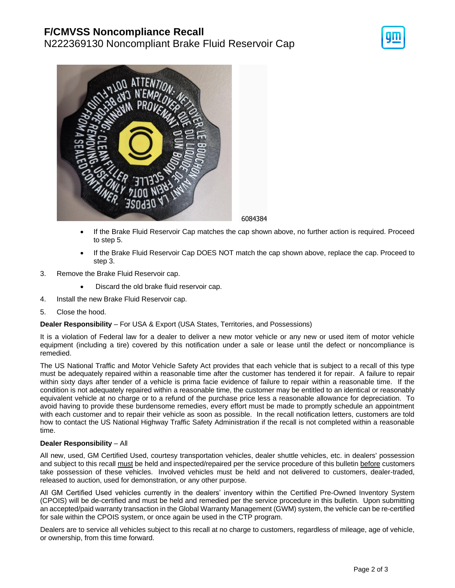# **F/CMVSS Noncompliance Recall**

N222369130 Noncompliant Brake Fluid Reservoir Cap





6084384

- If the Brake Fluid Reservoir Cap matches the cap shown above, no further action is required. Proceed to step 5.
- If the Brake Fluid Reservoir Cap DOES NOT match the cap shown above, replace the cap. Proceed to step 3.
- 3. Remove the Brake Fluid Reservoir cap.
	- Discard the old brake fluid reservoir cap.
- 4. Install the new Brake Fluid Reservoir cap.
- 5. Close the hood.

## **Dealer Responsibility** – For USA & Export (USA States, Territories, and Possessions)

It is a violation of Federal law for a dealer to deliver a new motor vehicle or any new or used item of motor vehicle equipment (including a tire) covered by this notification under a sale or lease until the defect or noncompliance is remedied.

The US National Traffic and Motor Vehicle Safety Act provides that each vehicle that is subject to a recall of this type must be adequately repaired within a reasonable time after the customer has tendered it for repair. A failure to repair within sixty days after tender of a vehicle is prima facie evidence of failure to repair within a reasonable time. If the condition is not adequately repaired within a reasonable time, the customer may be entitled to an identical or reasonably equivalent vehicle at no charge or to a refund of the purchase price less a reasonable allowance for depreciation. To avoid having to provide these burdensome remedies, every effort must be made to promptly schedule an appointment with each customer and to repair their vehicle as soon as possible. In the recall notification letters, customers are told how to contact the US National Highway Traffic Safety Administration if the recall is not completed within a reasonable time.

## **Dealer Responsibility** – All

All new, used, GM Certified Used, courtesy transportation vehicles, dealer shuttle vehicles, etc. in dealers' possession and subject to this recall must be held and inspected/repaired per the service procedure of this bulletin before customers take possession of these vehicles. Involved vehicles must be held and not delivered to customers, dealer-traded, released to auction, used for demonstration, or any other purpose.

All GM Certified Used vehicles currently in the dealers' inventory within the Certified Pre-Owned Inventory System (CPOIS) will be de-certified and must be held and remedied per the service procedure in this bulletin. Upon submitting an accepted/paid warranty transaction in the Global Warranty Management (GWM) system, the vehicle can be re-certified for sale within the CPOIS system, or once again be used in the CTP program.

Dealers are to service all vehicles subject to this recall at no charge to customers, regardless of mileage, age of vehicle, or ownership, from this time forward.